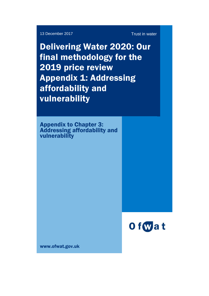13 December 2017 **Trust in water** 

Delivering Water 2020: Our final methodology for the 2019 price review Appendix 1: Addressing affordability and vulnerability

Appendix to Chapter 3: Addressing affordability and vulnerability



www.ofwat.gov.uk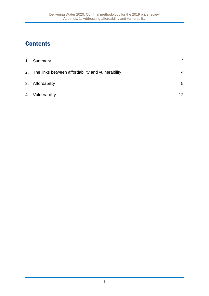# **Contents**

| 1. Summary                                           | 2  |
|------------------------------------------------------|----|
| 2. The links between affordability and vulnerability | 4  |
| 3. Affordability                                     | 5  |
| 4. Vulnerability                                     | 12 |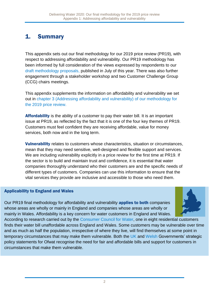# 1. Summary

This appendix sets out our final methodology for our 2019 price review (PR19), with respect to addressing affordability and vulnerability. Our PR19 methodology has been informed by full consideration of the views expressed by respondents to our [draft methodology proposals,](http://www.ofwat.gov.uk/consultation/delivering-water2020-consulting-on-our-methodology-for-the-2019-price-review/) published in July of this year. There was also further engagement through a stakeholder workshop and two Customer Challenge Group (CCG) chairs meetings.

This appendix supplements the information on affordability and vulnerability we set out in chapter 3 [\(Addressing affordability and vulnerability\)](https://www.ofwat.gov.uk/publication/delivering-water-2020-final-methodology-2019-price-review/) of our methodology for [the 2019 price review.](https://www.ofwat.gov.uk/publication/delivering-water-2020-final-methodology-2019-price-review/)

Affordability is the ability of a customer to pay their water bill. It is an important issue at PR19, as reflected by the fact that it is one of the four key themes of PR19. Customers must feel confident they are receiving affordable, value for money services, both now and in the long term.

Vulnerability relates to customers whose characteristics, situation or circumstances, mean that they may need sensitive, well-designed and flexible support and services. We are including vulnerability explicitly in a price review for the first time at PR19. If the sector is to build and maintain trust and confidence, it is essential that water companies thoroughly understand who their customers are and the specific needs of different types of customers. Companies can use this information to ensure that the vital services they provide are inclusive and accessible to those who need them.

#### Applicability to England and Wales

Our PR19 final methodology for affordability and vulnerability **applies to both** companies whose areas are wholly or mainly in England and companies whose areas are wholly or mainly in Wales. Affordability is a key concern for water customers in England and Wales.



According to research carried out by the [Consumer Council for Water,](https://www.ccwater.org.uk/wp-content/uploads/2017/09/Staying-afloat-addressing-customer-vulnerability-in-the-water-sector-2016-17.pdf) one in eight residential customers finds their water bill unaffordable across England and Wales. Some customers may be vulnerable over time and as much as half the population, irrespective of where they live, will find themselves at some point in temporary circumstances that may make them vulnerable. Both the [UK](https://www.gov.uk/government/publications/strategic-policy-statement-to-ofwat-incorporating-social-and-environmental-guidance) and [Welsh](http://www.assembly.wales/laid%20documents/gen-ld11283/gen-ld11283-e.pdf) Governments' strategic policy statements for Ofwat recognise the need for fair and affordable bills and support for customers in circumstances that make them vulnerable.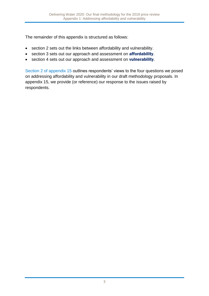The remainder of this appendix is structured as follows:

- section 2 sets out the links between affordability and vulnerability.
- section 3 sets out our approach and assessment on **affordability**.
- section 4 sets out our approach and assessment on vulnerability.

Section 2 [of appendix 15](https://www.ofwat.gov.uk/publication/delivering-water-2020-final-methodology-2019-price-review-appendix-15-responses-draft-methodology/) outlines respondents' views to the four questions we posed on addressing affordability and vulnerability in our draft methodology proposals. In appendix 15, we provide (or reference) our response to the issues raised by respondents.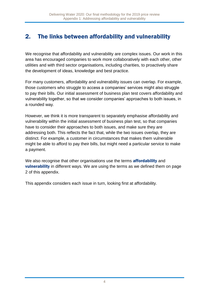# 2. The links between affordability and vulnerability

We recognise that affordability and vulnerability are complex issues. Our work in this area has encouraged companies to work more collaboratively with each other, other utilities and with third sector organisations, including charities, to proactively share the development of ideas, knowledge and best practice.

For many customers, affordability and vulnerability issues can overlap. For example, those customers who struggle to access a companies' services might also struggle to pay their bills. Our initial assessment of business plan test covers affordability and vulnerability together, so that we consider companies' approaches to both issues, in a rounded way.

However, we think it is more transparent to separately emphasise affordability and vulnerability within the initial assessment of business plan test, so that companies have to consider their approaches to both issues, and make sure they are addressing both. This reflects the fact that, while the two issues overlap, they are distinct. For example, a customer in circumstances that makes them vulnerable might be able to afford to pay their bills, but might need a particular service to make a payment.

We also recognise that other organisations use the terms **affordability** and **vulnerability** in different ways. We are using the terms as we defined them on page 2 of this appendix.

This appendix considers each issue in turn, looking first at affordability.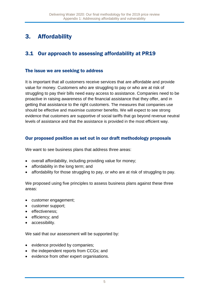# 3. Affordability

# 3.1 Our approach to assessing affordability at PR19

### The issue we are seeking to address

It is important that all customers receive services that are affordable and provide value for money. Customers who are struggling to pay or who are at risk of struggling to pay their bills need easy access to assistance. Companies need to be proactive in raising awareness of the financial assistance that they offer, and in getting that assistance to the right customers. The measures that companies use should be effective and maximise customer benefits. We will expect to see strong evidence that customers are supportive of social tariffs that go beyond revenue neutral levels of assistance and that the assistance is provided in the most efficient way.

### Our proposed position as set out in our draft methodology proposals

We want to see business plans that address three areas:

- overall affordability, including providing value for money;
- affordability in the long term; and
- affordability for those struggling to pay, or who are at risk of struggling to pay.

We proposed using five principles to assess business plans against these three areas:

- customer engagement;
- customer support:
- effectiveness;
- efficiency; and
- accessibility.

We said that our assessment will be supported by:

- evidence provided by companies;
- the independent reports from CCGs; and
- evidence from other expert organisations.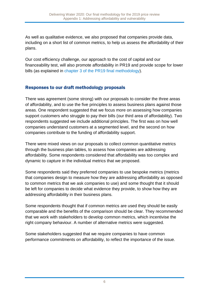As well as qualitative evidence, we also proposed that companies provide data, including on a short list of common metrics, to help us assess the affordability of their plans.

Our cost efficiency challenge, our approach to the cost of capital and our financeability test, will also promote affordability in PR19 and provide scope for lower bills (as explained in chapter 3 [of the PR19 final methodology\)](https://www.ofwat.gov.uk/publication/delivering-water-2020-final-methodology-2019-price-review/).

## Responses to our draft methodology proposals

There was agreement (some strong) with our proposals to consider the three areas of affordability, and to use the five principles to assess business plans against those areas. One respondent suggested that we focus more on assessing how companies support customers who struggle to pay their bills (our third area of affordability). Two respondents suggested we include additional principles. The first was on how well companies understand customers at a segmented level, and the second on how companies contribute to the funding of affordability support.

There were mixed views on our proposals to collect common quantitative metrics through the business plan tables, to assess how companies are addressing affordability. Some respondents considered that affordability was too complex and dynamic to capture in the individual metrics that we proposed.

Some respondents said they preferred companies to use bespoke metrics (metrics that companies design to measure how they are addressing affordability as opposed to common metrics that we ask companies to use) and some thought that it should be left for companies to decide what evidence they provide, to show how they are addressing affordability in their business plans.

Some respondents thought that if common metrics are used they should be easily comparable and the benefits of the comparison should be clear. They recommended that we work with stakeholders to develop common metrics, which incentivise the right company behaviour. A number of alternative metrics were suggested.

Some stakeholders suggested that we require companies to have common performance commitments on affordability, to reflect the importance of the issue.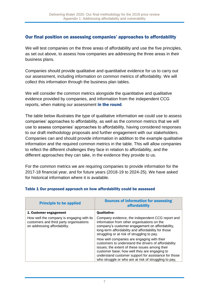### Our final position on assessing companies' approaches to affordability

We will test companies on the three areas of affordability and use the five principles, as set out above, to assess how companies are addressing the three areas in their business plans.

Companies should provide qualitative and quantitative evidence for us to carry out our assessment, including information on common metrics of affordability. We will collect this information through the business plan tables.

We will consider the common metrics alongside the quantitative and qualitative evidence provided by companies, and information from the independent CCG reports, when making our assessment in the round.

The table below illustrates the type of qualitative information we could use to assess companies' approaches to affordability, as well as the common metrics that we will use to assess companies' approaches to affordability, having considered responses to our draft methodology proposals and further engagement with our stakeholders. Companies can and should provide information in addition to the example qualitative information and the required common metrics in the table. This will allow companies to reflect the different challenges they face in relation to affordability, and the different approaches they can take, in the evidence they provide to us.

For the common metrics we are requiring companies to provide information for the 2017-18 financial year, and for future years (2018-19 to 2024-25). We have asked for historical information where it is available.

| <b>Principle to be applied</b>                                                                                       | <b>Sources of information for assessing</b><br>affordability                                                                                                                                                                                                                                                          |
|----------------------------------------------------------------------------------------------------------------------|-----------------------------------------------------------------------------------------------------------------------------------------------------------------------------------------------------------------------------------------------------------------------------------------------------------------------|
| 1. Customer engagement                                                                                               | <b>Qualitative:</b>                                                                                                                                                                                                                                                                                                   |
| How well the company is engaging with its<br>customers and third party organisations<br>on addressing affordability. | Company evidence, the independent CCG report and<br>information from other organisations on the<br>company's customer engagement on affordability,<br>long-term affordability and affordability for those<br>struggling or at risk of struggling to pay.                                                              |
|                                                                                                                      | How well companies are engaging with their<br>customers to understand the drivers of affordability<br>issues; the extent of these issues among their<br>customer base; how well they are engaging to<br>understand customer support for assistance for those<br>who struggle or who are at risk of struggling to pay, |

#### Table 1 Our proposed approach on how affordability could be assessed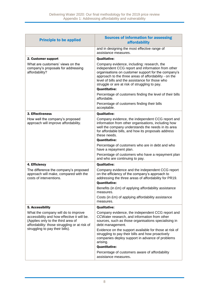| <b>Principle to be applied</b>                                                                                                                                                                               | <b>Sources of information for assessing</b><br>affordability                                                                                                                                                                                                                                                                                |
|--------------------------------------------------------------------------------------------------------------------------------------------------------------------------------------------------------------|---------------------------------------------------------------------------------------------------------------------------------------------------------------------------------------------------------------------------------------------------------------------------------------------------------------------------------------------|
|                                                                                                                                                                                                              | and in designing the most effective range of<br>assistance measures.                                                                                                                                                                                                                                                                        |
| 2. Customer support                                                                                                                                                                                          | <b>Qualitative:</b>                                                                                                                                                                                                                                                                                                                         |
| What are customers' views on the<br>company's proposals for addressing<br>affordability?                                                                                                                     | Company evidence, including: research, the<br>independent CCG report and information from other<br>organisations on customer support for the company's<br>approach to the three areas of affordability - on the<br>level of bills and the assistance for those who<br>struggle or are at risk of struggling to pay.<br><b>Quantitative:</b> |
|                                                                                                                                                                                                              | Percentage of customers finding the level of their bills<br>affordable.                                                                                                                                                                                                                                                                     |
|                                                                                                                                                                                                              | Percentage of customers finding their bills<br>acceptable.                                                                                                                                                                                                                                                                                  |
| 3. Effectiveness                                                                                                                                                                                             | <b>Qualitative:</b>                                                                                                                                                                                                                                                                                                                         |
| How well the company's proposed<br>approach will improve affordability.                                                                                                                                      | Company evidence, the independent CCG report and<br>information from other organisations, including how<br>well the company understands the needs in its area<br>for affordable bills, and how its proposals address<br>these needs.<br><b>Quantitative:</b>                                                                                |
|                                                                                                                                                                                                              | Percentage of customers who are in debt and who<br>have a repayment plan.                                                                                                                                                                                                                                                                   |
|                                                                                                                                                                                                              | Percentage of customers who have a repayment plan<br>and who are continuing to pay.                                                                                                                                                                                                                                                         |
| 4. Efficiency                                                                                                                                                                                                | <b>Qualitative:</b>                                                                                                                                                                                                                                                                                                                         |
| The difference the company's proposed<br>approach will make, compared with the<br>costs of interventions.                                                                                                    | Company evidence and the independent CCG report<br>on the efficiency of the company's approach to<br>addressing the three areas of affordability for PR19.<br><b>Quantitative:</b>                                                                                                                                                          |
|                                                                                                                                                                                                              | Benefits (in £m) of applying affordability assistance<br>measures.                                                                                                                                                                                                                                                                          |
|                                                                                                                                                                                                              | Costs (in £m) of applying affordability assistance<br>measures.                                                                                                                                                                                                                                                                             |
| 5. Accessibility                                                                                                                                                                                             | <b>Qualitative:</b>                                                                                                                                                                                                                                                                                                                         |
| What the company will do to improve<br>accessibility and how effective it will be.<br>(Applies only to the third area of<br>affordability: those struggling or at risk of<br>struggling to pay their bills). | Company evidence, the independent CCG report and<br>CCWater research, and information from other<br>sources, such as those organisations specialising in<br>debt management.                                                                                                                                                                |
|                                                                                                                                                                                                              | Evidence on the support available for those at risk of<br>struggling to pay their bills and how proactively<br>companies deploy support in advance of problems<br>arising.<br><b>Quantitative:</b>                                                                                                                                          |
|                                                                                                                                                                                                              | Percentage of customers aware of affordability<br>assistance measures.                                                                                                                                                                                                                                                                      |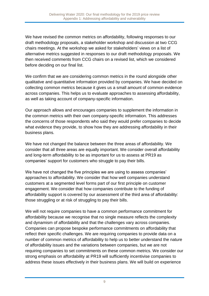We have revised the common metrics on affordability, following responses to our draft methodology proposals, a stakeholder workshop and discussion at two CCG chairs meetings. At the workshop we asked for stakeholders' views on a list of alternative metrics suggested in responses to our draft methodology proposals. We then received comments from CCG chairs on a revised list, which we considered before deciding on our final list.

We confirm that we are considering common metrics in the round alongside other qualitative and quantitative information provided by companies. We have decided on collecting common metrics because it gives us a small amount of common evidence across companies. This helps us to evaluate approaches to assessing affordability, as well as taking account of company-specific information.

Our approach allows and encourages companies to supplement the information in the common metrics with their own company-specific information. This addresses the concerns of those respondents who said they would prefer companies to decide what evidence they provide, to show how they are addressing affordability in their business plans.

We have not changed the balance between the three areas of affordability. We consider that all three areas are equally important. We consider overall affordability and long-term affordability to be as important for us to assess at PR19 as companies' support for customers who struggle to pay their bills.

We have not changed the five principles we are using to assess companies' approaches to affordability. We consider that how well companies understand customers at a segmented level forms part of our first principle on customer engagement. We consider that how companies contribute to the funding of affordability support is covered by our assessment of the third area of affordability: those struggling or at risk of struggling to pay their bills.

We will not require companies to have a common performance commitment for affordability because we recognise that no single measure reflects the complexity and dynamism of affordability and that the challenges vary across companies. Companies can propose bespoke performance commitments on affordability that reflect their specific challenges. We are requiring companies to provide data on a number of common metrics of affordability to help us to better understand the nature of affordability issues and the variations between companies, but we are not requiring companies to set commitments on these common metrics. We consider our strong emphasis on affordability at PR19 will sufficiently incentivise companies to address these issues effectively in their business plans. We will build on experience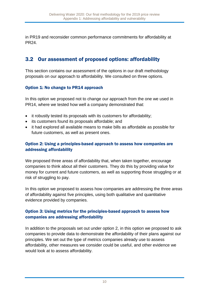in PR19 and reconsider common performance commitments for affordability at PR24.

# 3.2 Our assessment of proposed options: affordability

This section contains our assessment of the options in our draft methodology proposals on our approach to affordability. We consulted on three options.

#### Option 1: No change to PR14 approach

In this option we proposed not to change our approach from the one we used in PR14, where we tested how well a company demonstrated that:

- it robustly tested its proposals with its customers for affordability;
- its customers found its proposals affordable; and
- it had explored all available means to make bills as affordable as possible for future customers, as well as present ones.

#### Option 2: Using a principles-based approach to assess how companies are addressing affordability

We proposed three areas of affordability that, when taken together, encourage companies to think about all their customers. They do this by providing value for money for current and future customers, as well as supporting those struggling or at risk of struggling to pay.

In this option we proposed to assess how companies are addressing the three areas of affordability against five principles, using both qualitative and quantitative evidence provided by companies.

#### Option 3: Using metrics for the principles-based approach to assess how companies are addressing affordability

In addition to the proposals set out under option 2, in this option we proposed to ask companies to provide data to demonstrate the affordability of their plans against our principles. We set out the type of metrics companies already use to assess affordability, other measures we consider could be useful, and other evidence we would look at to assess affordability.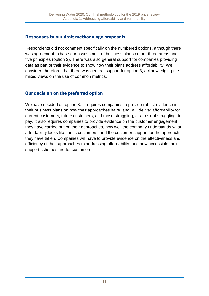## Responses to our draft methodology proposals

Respondents did not comment specifically on the numbered options, although there was agreement to base our assessment of business plans on our three areas and five principles (option 2). There was also general support for companies providing data as part of their evidence to show how their plans address affordability. We consider, therefore, that there was general support for option 3, acknowledging the mixed views on the use of common metrics.

### Our decision on the preferred option

We have decided on option 3. It requires companies to provide robust evidence in their business plans on how their approaches have, and will, deliver affordability for current customers, future customers, and those struggling, or at risk of struggling, to pay. It also requires companies to provide evidence on the customer engagement they have carried out on their approaches, how well the company understands what affordability looks like for its customers, and the customer support for the approach they have taken. Companies will have to provide evidence on the effectiveness and efficiency of their approaches to addressing affordability, and how accessible their support schemes are for customers.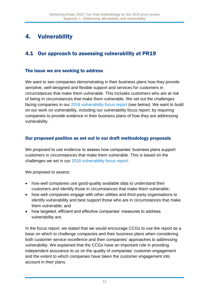# 4. Vulnerability

# 4.1 Our approach to assessing vulnerability at PR19

#### The issue we are seeking to address

We want to see companies demonstrating in their business plans how they provide sensitive, well-designed and flexible support and services for customers in circumstances that make them vulnerable. This includes customers who are at risk of being in circumstances that make them vulnerable. We set out the challenges facing companies in our [2016 vulnerability focus report](https://www.ofwat.gov.uk/publication/vulnerability-focus-report/) (see below). We want to build on our work on vulnerability, including our vulnerability focus report, by requiring companies to provide evidence in their business plans of how they are addressing vulnerability.

### Our proposed position as set out in our draft methodology proposals

We proposed to use evidence to assess how companies' business plans support customers in circumstances that make them vulnerable. This is based on the challenges we set in our [2016 vulnerability focus report.](https://www.ofwat.gov.uk/publication/vulnerability-focus-report/)

We proposed to assess:

- how well companies use good-quality available data to understand their customers and identify those in circumstances that make them vulnerable;
- how well companies engage with other utilities and third-party organisations to identify vulnerability and best support those who are in circumstances that make them vulnerable; and
- how targeted, efficient and effective companies' measures to address vulnerability are.

In the focus report, we stated that we would encourage CCGs to use the report as a base on which to challenge companies and their business plans when considering both customer service excellence and their companies' approaches to addressing vulnerability. We explained that the CCGs have an important role in providing independent assurance to us on the quality of companies' customer engagement and the extent to which companies have taken the customer engagement into account in their plans.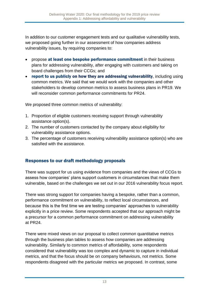In addition to our customer engagement tests and our qualitative vulnerability tests, we proposed going further in our assessment of how companies address vulnerability issues, by requiring companies to:

- propose at least one bespoke performance commitment in their business plans for addressing vulnerability, after engaging with customers and taking on board challenges from their CCGs; and
- report to us publicly on how they are addressing vulnerability, including using common metrics. We said that we would work with the companies and other stakeholders to develop common metrics to assess business plans in PR19. We will reconsider common performance commitments for PR24.

We proposed three common metrics of vulnerability:

- 1. Proportion of eligible customers receiving support through vulnerability assistance option(s).
- 2. The number of customers contacted by the company about eligibility for vulnerability assistance options.
- 3. The percentage of customers receiving vulnerability assistance option(s) who are satisfied with the assistance.

## Responses to our draft methodology proposals

There was support for us using evidence from companies and the views of CCGs to assess how companies' plans support customers in circumstances that make them vulnerable, based on the challenges we set out in our 2016 vulnerability focus report.

There was strong support for companies having a bespoke, rather than a common, performance commitment on vulnerability, to reflect local circumstances, and because this is the first time we are testing companies' approaches to vulnerability explicitly in a price review. Some respondents accepted that our approach might be a precursor for a common performance commitment on addressing vulnerability at PR24.

There were mixed views on our proposal to collect common quantitative metrics through the business plan tables to assess how companies are addressing vulnerability. Similarly to common metrics of affordability, some respondents considered that vulnerability was too complex and dynamic to capture in individual metrics, and that the focus should be on company behaviours, not metrics. Some respondents disagreed with the particular metrics we proposed. In contrast, some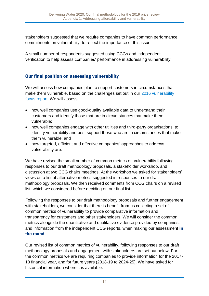stakeholders suggested that we require companies to have common performance commitments on vulnerability, to reflect the importance of this issue.

A small number of respondents suggested using CCGs and independent verification to help assess companies' performance in addressing vulnerability.

## Our final position on assessing vulnerability

We will assess how companies plan to support customers in circumstances that make them vulnerable, based on the challenges set out in our [2016 vulnerability](http://www.ofwat.gov.uk/publication/vulnerability-focus-report/)  [focus report.](http://www.ofwat.gov.uk/publication/vulnerability-focus-report/) We will assess:

- how well companies use good-quality available data to understand their customers and identify those that are in circumstances that make them vulnerable;
- how well companies engage with other utilities and third-party organisations, to identify vulnerability and best support those who are in circumstances that make them vulnerable; and
- how targeted, efficient and effective companies' approaches to address vulnerability are.

We have revised the small number of common metrics on vulnerability following responses to our draft methodology proposals, a stakeholder workshop, and discussion at two CCG chairs meetings. At the workshop we asked for stakeholders' views on a list of alternative metrics suggested in responses to our draft methodology proposals. We then received comments from CCG chairs on a revised list, which we considered before deciding on our final list.

Following the responses to our draft methodology proposals and further engagement with stakeholders, we consider that there is benefit from us collecting a set of common metrics of vulnerability to provide comparative information and transparency for customers and other stakeholders. We will consider the common metrics alongside the quantitative and qualitative evidence provided by companies, and information from the independent CCG reports, when making our assessment in the round.

Our revised list of common metrics of vulnerability, following responses to our draft methodology proposals and engagement with stakeholders are set out below. For the common metrics we are requiring companies to provide information for the 2017- 18 financial year, and for future years (2018-19 to 2024-25). We have asked for historical information where it is available.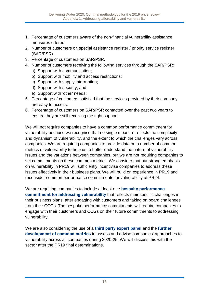- 1. Percentage of customers aware of the non-financial vulnerability assistance measures offered.
- 2. Number of customers on special assistance register / priority service register (SAR/PSR).
- 3. Percentage of customers on SAR/PSR.
- 4. Number of customers receiving the following services through the SAR/PSR:
	- a) Support with communication;
	- b) Support with mobility and access restrictions;
	- c) Support with supply interruption;
	- d) Support with security; and
	- e) Support with 'other needs'.
- 5. Percentage of customers satisfied that the services provided by their company are easy to access.
- 6. Percentage of customers on SAR/PSR contacted over the past two years to ensure they are still receiving the right support.

We will not require companies to have a common performance commitment for vulnerability because we recognise that no single measure reflects the complexity and dynamism of vulnerability, and the extent to which the challenges vary across companies. We are requiring companies to provide data on a number of common metrics of vulnerability to help us to better understand the nature of vulnerability issues and the variations between companies, but we are not requiring companies to set commitments on these common metrics. We consider that our strong emphasis on vulnerability in PR19 will sufficiently incentivise companies to address these issues effectively in their business plans. We will build on experience in PR19 and reconsider common performance commitments for vulnerability at PR24.

We are requiring companies to include at least one **bespoke performance** commitment for addressing vulnerability that reflects their specific challenges in their business plans, after engaging with customers and taking on board challenges from their CCGs. The bespoke performance commitments will require companies to engage with their customers and CCGs on their future commitments to addressing vulnerability.

We are also considering the use of a **third party expert panel** and the **further** development of common metrics to assess and advise companies' approaches to vulnerability across all companies during 2020-25. We will discuss this with the sector after the PR19 final determinations.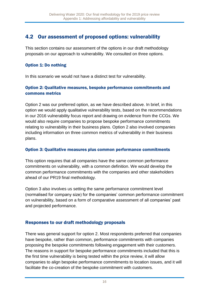# 4.2 Our assessment of proposed options: vulnerability

This section contains our assessment of the options in our draft methodology proposals on our approach to vulnerability. We consulted on three options.

#### Option 1: Do nothing

In this scenario we would not have a distinct test for vulnerability.

#### Option 2: Qualitative measures, bespoke performance commitments and commons metrics

Option 2 was our preferred option, as we have described above. In brief, in this option we would apply qualitative vulnerability tests, based on the recommendations in our 2016 vulnerability focus report and drawing on evidence from the CCGs. We would also require companies to propose bespoke performance commitments relating to vulnerability in their business plans. Option 2 also involved companies including information on three common metrics of vulnerability in their business plans.

#### Option 3: Qualitative measures plus common performance commitments

This option requires that all companies have the same common performance commitments on vulnerability, with a common definition. We would develop the common performance commitments with the companies and other stakeholders ahead of our PR19 final methodology.

Option 3 also involves us setting the same performance commitment level (normalised for company size) for the companies' common performance commitment on vulnerability, based on a form of comparative assessment of all companies' past and projected performance.

### Responses to our draft methodology proposals

There was general support for option 2. Most respondents preferred that companies have bespoke, rather than common, performance commitments with companies proposing the bespoke commitments following engagement with their customers. The reasons in support for bespoke performance commitments included that this is the first time vulnerability is being tested within the price review, it will allow companies to align bespoke performance commitments to location issues, and it will facilitate the co-creation of the bespoke commitment with customers.